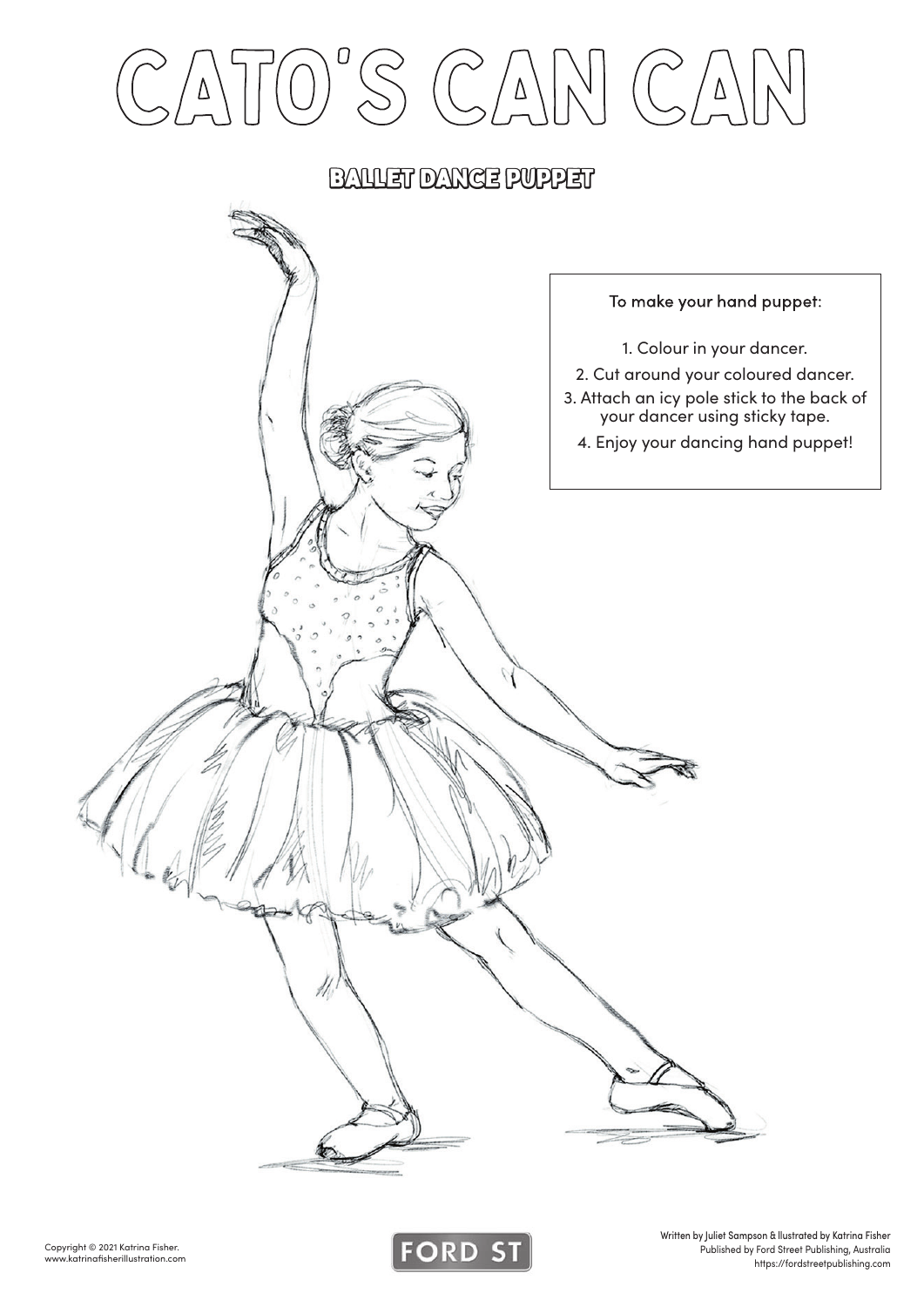



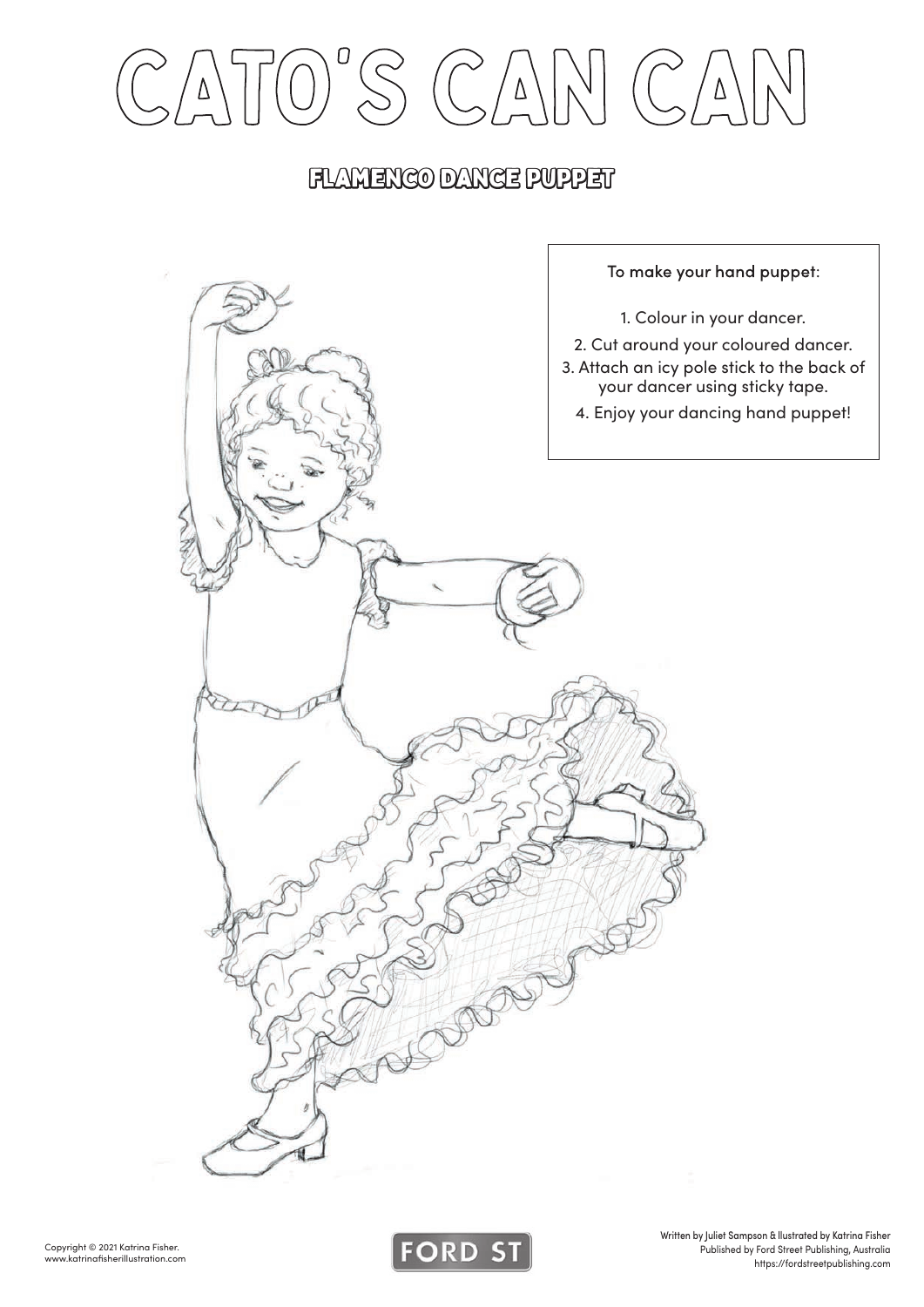CATO'S CAN CAN

#### flamenco Dance puppet



![](_page_1_Picture_4.jpeg)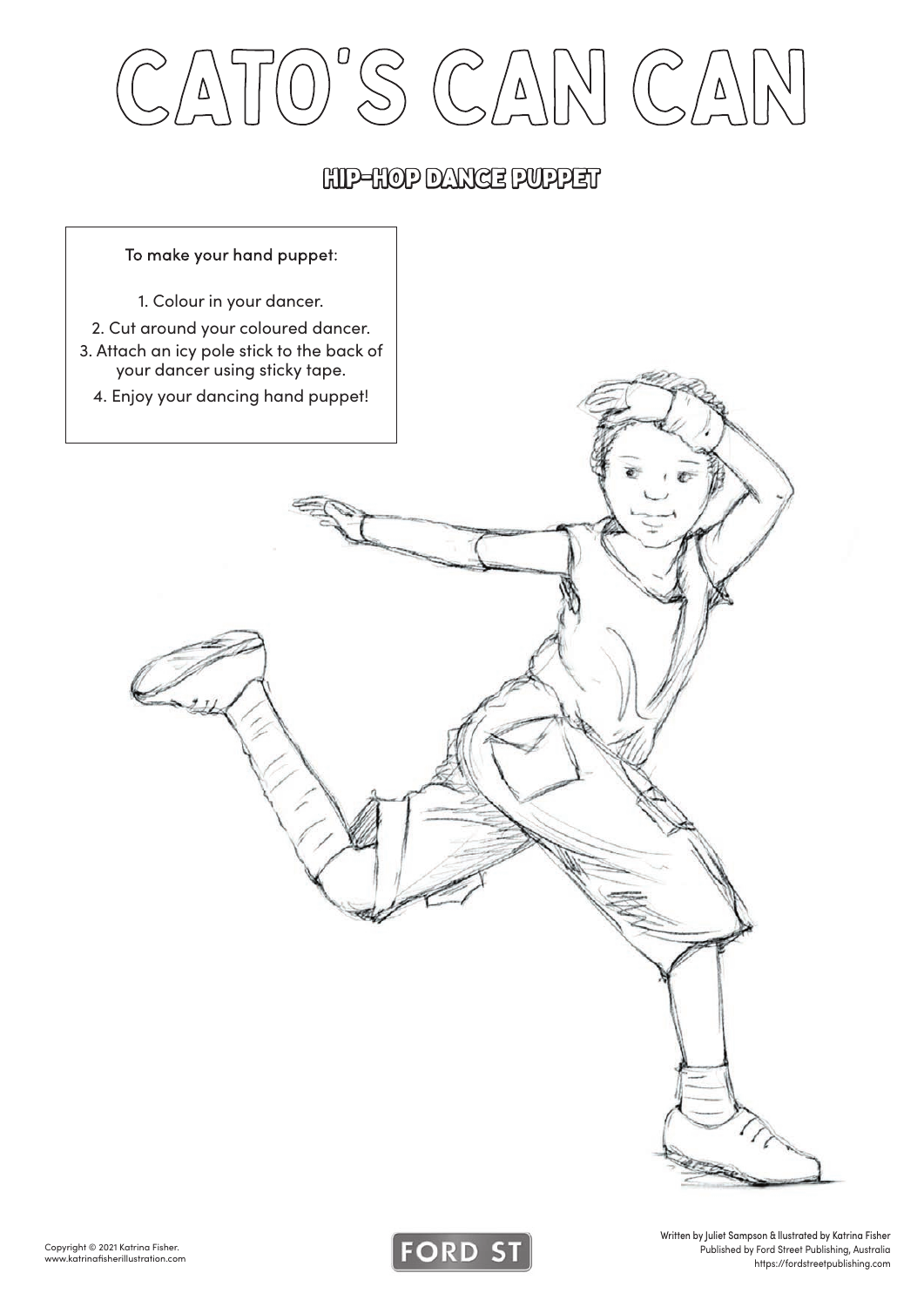### hip-hop Dance puppet

![](_page_2_Figure_2.jpeg)

![](_page_2_Picture_4.jpeg)

Written by Juliet Sampson & llustrated by Katrina Fisher Published by Ford Street Publishing, Australia https://fordstreetpublishing.com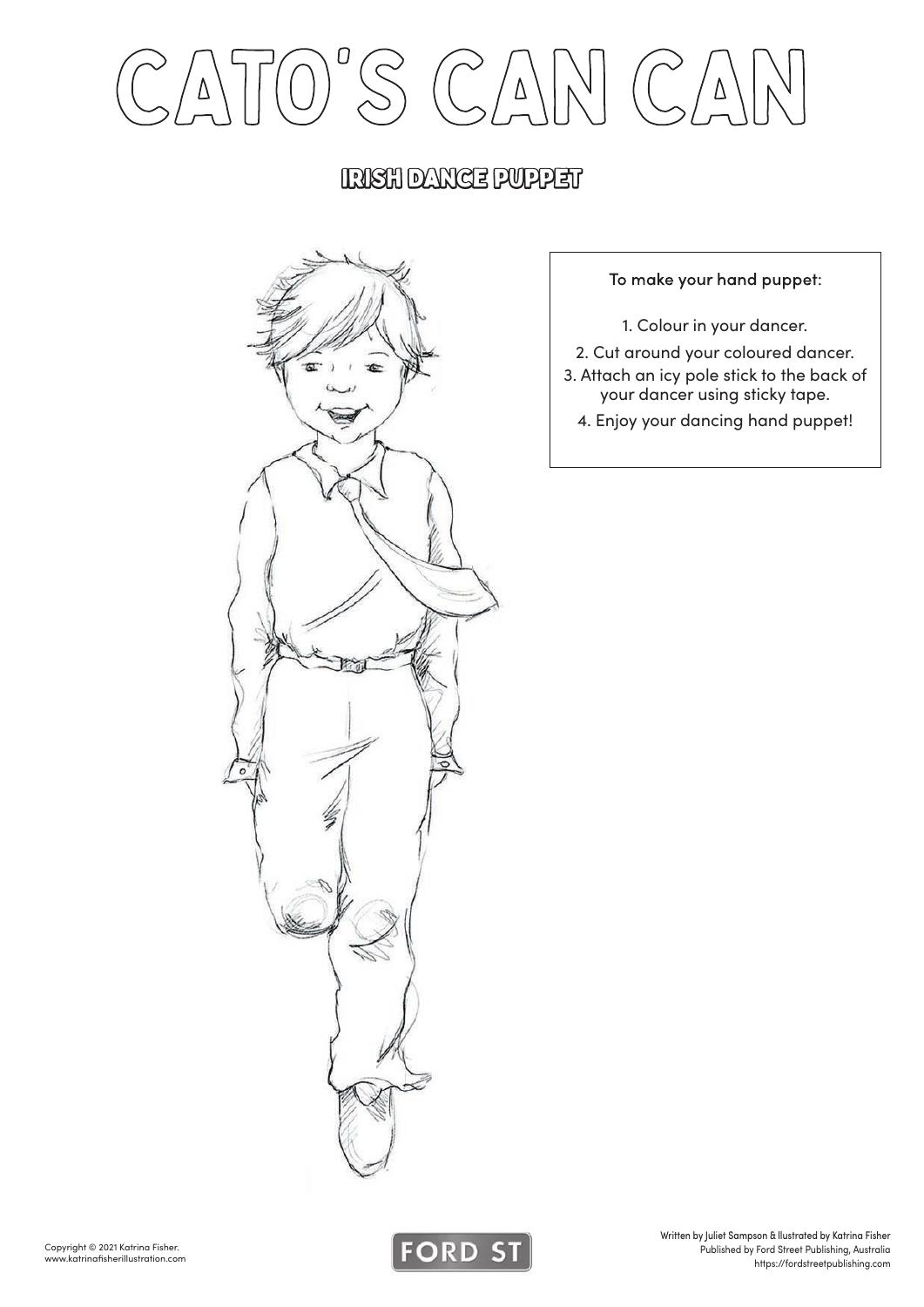### irish Dance puppet

![](_page_3_Picture_2.jpeg)

To make your hand puppet:

1. Colour in your dancer.

2. Cut around your coloured dancer.

3. Attach an icy pole stick to the back of your dancer using sticky tape.

4. Enjoy your dancing hand puppet!

![](_page_3_Picture_9.jpeg)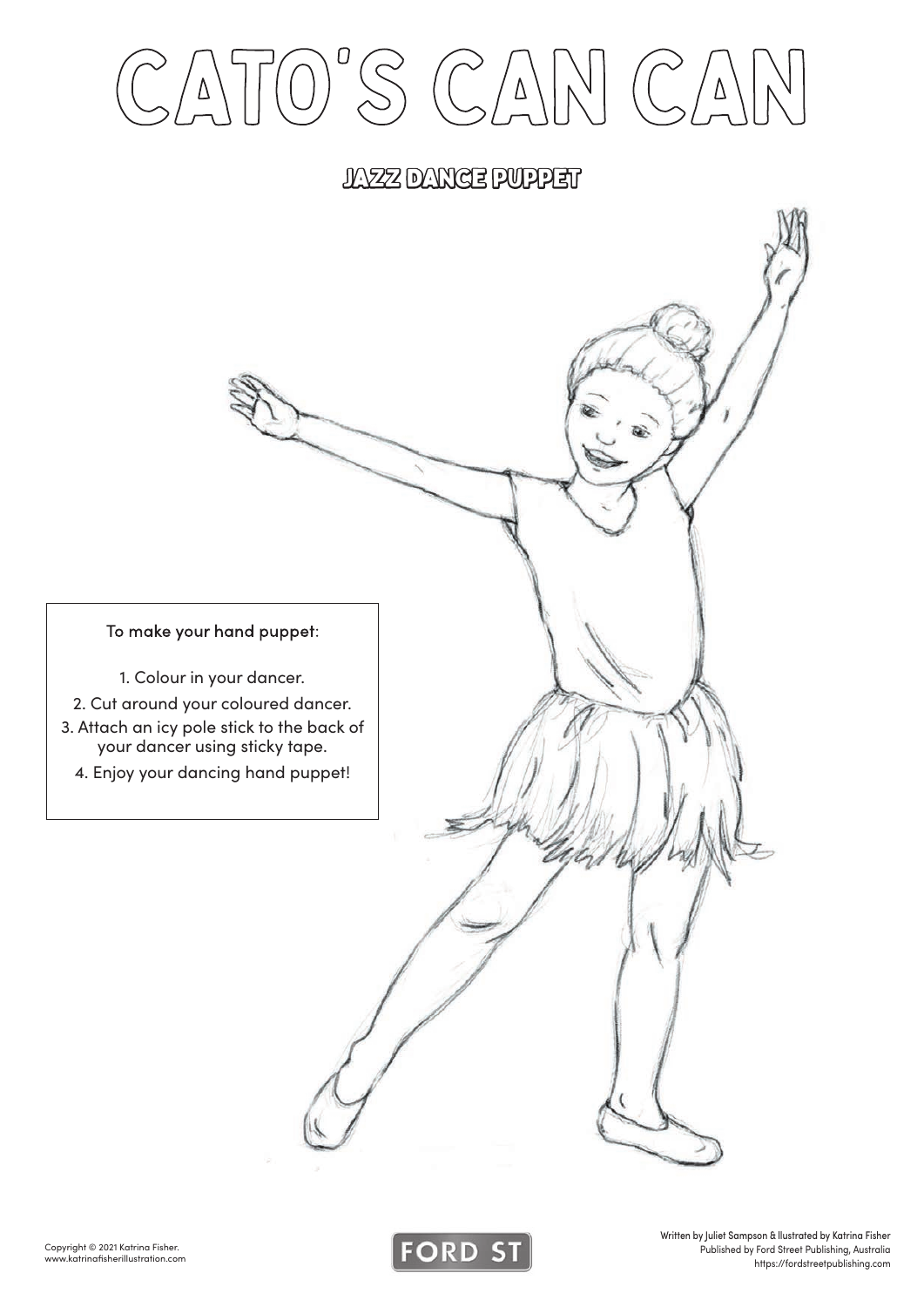#### jazz Dance puppet

To make your hand puppet:

- 1. Colour in your dancer.
- 2. Cut around your coloured dancer.
- 3. Attach an icy pole stick to the back of your dancer using sticky tape.
	- 4. Enjoy your dancing hand puppet!

![](_page_4_Picture_8.jpeg)